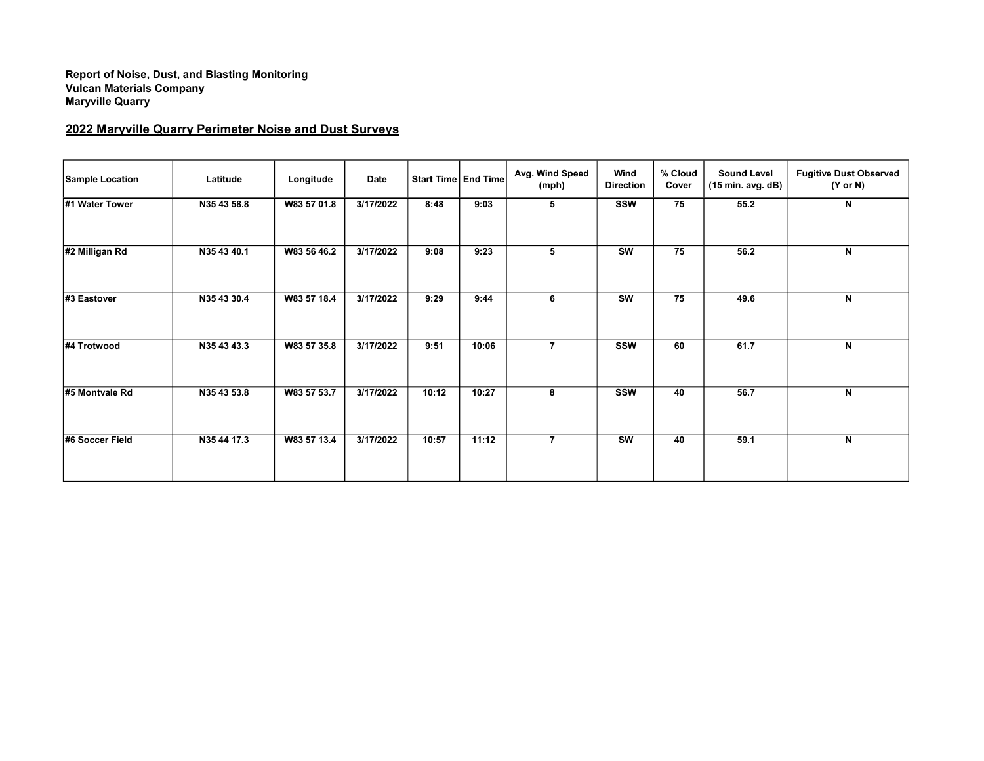## Report of Noise, Dust, and Blasting Monitoring Vulcan Materials Company Maryville Quarry

## 2022 Maryville Quarry Perimeter Noise and Dust Surveys

| <b>Sample Location</b> | Latitude    | Longitude   | Date      |       | Start Time   End Time | Avg. Wind Speed<br>(mph) | Wind<br><b>Direction</b> | % Cloud<br>Cover | <b>Sound Level</b><br>(15 min. avg. dB) | <b>Fugitive Dust Observed</b><br>$(Y \text{ or } N)$ |
|------------------------|-------------|-------------|-----------|-------|-----------------------|--------------------------|--------------------------|------------------|-----------------------------------------|------------------------------------------------------|
| #1 Water Tower         | N35 43 58.8 | W83 57 01.8 | 3/17/2022 | 8:48  | 9:03                  | 5                        | <b>SSW</b>               | 75               | 55.2                                    | N                                                    |
| #2 Milligan Rd         | N35 43 40.1 | W83 56 46.2 | 3/17/2022 | 9:08  | 9:23                  | 5                        | <b>SW</b>                | 75               | 56.2                                    | N                                                    |
| #3 Eastover            | N35 43 30.4 | W83 57 18.4 | 3/17/2022 | 9:29  | 9:44                  | 6                        | <b>SW</b>                | 75               | 49.6                                    | N                                                    |
| #4 Trotwood            | N35 43 43.3 | W83 57 35.8 | 3/17/2022 | 9:51  | 10:06                 | $\overline{7}$           | <b>SSW</b>               | 60               | 61.7                                    | N                                                    |
| #5 Montvale Rd         | N35 43 53.8 | W83 57 53.7 | 3/17/2022 | 10:12 | 10:27                 | 8                        | <b>SSW</b>               | 40               | 56.7                                    | N                                                    |
| #6 Soccer Field        | N35 44 17.3 | W83 57 13.4 | 3/17/2022 | 10:57 | 11:12                 | $\overline{7}$           | $\overline{\text{sw}}$   | 40               | 59.1                                    | N                                                    |
|                        |             |             |           |       |                       |                          |                          |                  |                                         |                                                      |